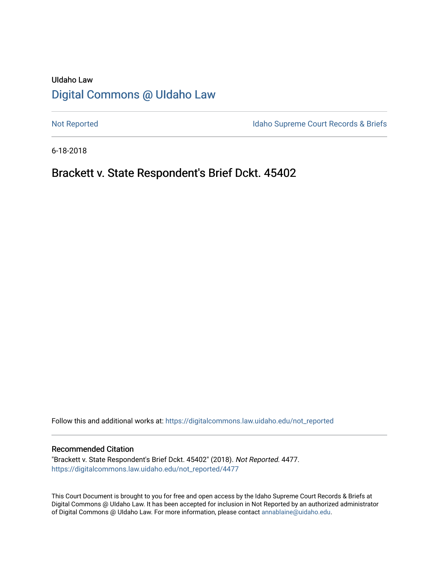# UIdaho Law [Digital Commons @ UIdaho Law](https://digitalcommons.law.uidaho.edu/)

[Not Reported](https://digitalcommons.law.uidaho.edu/not_reported) **Idaho Supreme Court Records & Briefs** 

6-18-2018

# Brackett v. State Respondent's Brief Dckt. 45402

Follow this and additional works at: [https://digitalcommons.law.uidaho.edu/not\\_reported](https://digitalcommons.law.uidaho.edu/not_reported?utm_source=digitalcommons.law.uidaho.edu%2Fnot_reported%2F4477&utm_medium=PDF&utm_campaign=PDFCoverPages) 

#### Recommended Citation

"Brackett v. State Respondent's Brief Dckt. 45402" (2018). Not Reported. 4477. [https://digitalcommons.law.uidaho.edu/not\\_reported/4477](https://digitalcommons.law.uidaho.edu/not_reported/4477?utm_source=digitalcommons.law.uidaho.edu%2Fnot_reported%2F4477&utm_medium=PDF&utm_campaign=PDFCoverPages)

This Court Document is brought to you for free and open access by the Idaho Supreme Court Records & Briefs at Digital Commons @ UIdaho Law. It has been accepted for inclusion in Not Reported by an authorized administrator of Digital Commons @ UIdaho Law. For more information, please contact [annablaine@uidaho.edu](mailto:annablaine@uidaho.edu).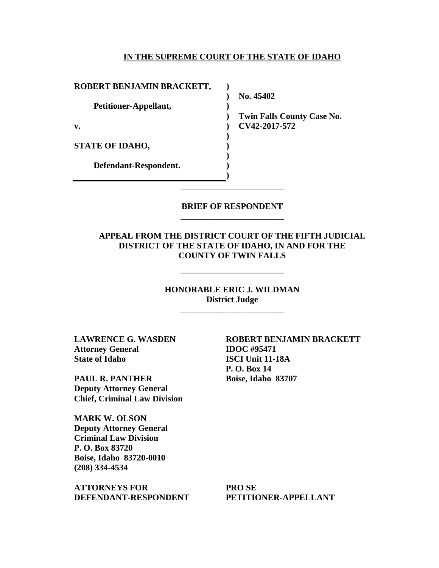#### **IN THE SUPREME COURT OF THE STATE OF IDAHO**

| ROBERT BENJAMIN BRACKETT, |                                   |
|---------------------------|-----------------------------------|
|                           | No. 45402                         |
| Petitioner-Appellant,     |                                   |
|                           | <b>Twin Falls County Case No.</b> |
| v.                        | CV42-2017-572                     |
|                           |                                   |
| <b>STATE OF IDAHO,</b>    |                                   |
|                           |                                   |
| Defendant-Respondent.     |                                   |
|                           |                                   |

### **BRIEF OF RESPONDENT** \_\_\_\_\_\_\_\_\_\_\_\_\_\_\_\_\_\_\_\_\_\_\_\_

\_\_\_\_\_\_\_\_\_\_\_\_\_\_\_\_\_\_\_\_\_\_\_\_

## **APPEAL FROM THE DISTRICT COURT OF THE FIFTH JUDICIAL DISTRICT OF THE STATE OF IDAHO, IN AND FOR THE COUNTY OF TWIN FALLS**

## **HONORABLE ERIC J. WILDMAN District Judge**

\_\_\_\_\_\_\_\_\_\_\_\_\_\_\_\_\_\_\_\_\_\_\_\_

\_\_\_\_\_\_\_\_\_\_\_\_\_\_\_\_\_\_\_\_\_\_\_\_

**LAWRENCE G. WASDEN Attorney General State of Idaho** 

**PAUL R. PANTHER Deputy Attorney General Chief, Criminal Law Division**

**MARK W. OLSON Deputy Attorney General Criminal Law Division P. O. Box 83720 Boise, Idaho 83720-0010 (208) 334-4534** 

**ATTORNEYS FOR DEFENDANT-RESPONDENT** **ROBERT BENJAMIN BRACKETT IDOC #95471 ISCI Unit 11-18A P. O. Box 14 Boise, Idaho 83707** 

**PRO SE PETITIONER-APPELLANT**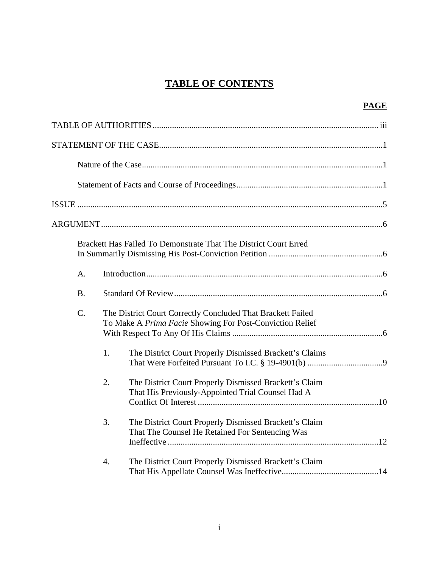# **TABLE OF CONTENTS**

|           |    | Brackett Has Failed To Demonstrate That The District Court Erred                                                        |
|-----------|----|-------------------------------------------------------------------------------------------------------------------------|
| A.        |    |                                                                                                                         |
| <b>B.</b> |    |                                                                                                                         |
| C.        |    | The District Court Correctly Concluded That Brackett Failed<br>To Make A Prima Facie Showing For Post-Conviction Relief |
|           | 1. | The District Court Properly Dismissed Brackett's Claims                                                                 |
|           | 2. | The District Court Properly Dismissed Brackett's Claim<br>That His Previously-Appointed Trial Counsel Had A             |
|           | 3. | The District Court Properly Dismissed Brackett's Claim<br>That The Counsel He Retained For Sentencing Was               |
|           | 4. | The District Court Properly Dismissed Brackett's Claim                                                                  |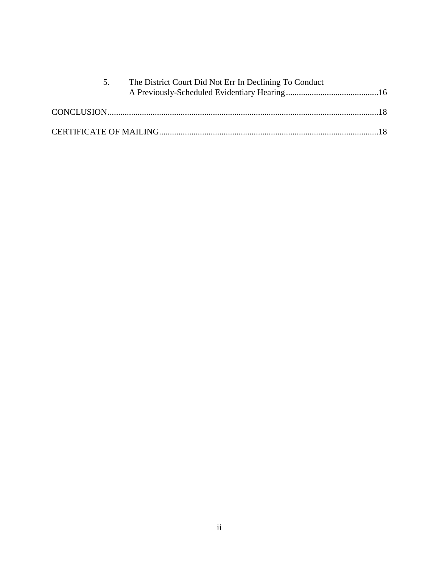| The District Court Did Not Err In Declining To Conduct |  |
|--------------------------------------------------------|--|
|                                                        |  |
|                                                        |  |
|                                                        |  |
|                                                        |  |
|                                                        |  |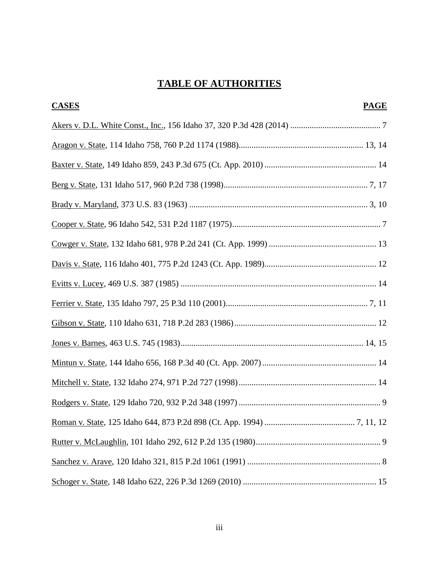# **TABLE OF AUTHORITIES**

| <b>CASES</b> | <b>PAGE</b> |
|--------------|-------------|
|              |             |
|              |             |
|              |             |
|              |             |
|              |             |
|              |             |
|              |             |
|              |             |
|              |             |
|              |             |
|              |             |
|              |             |
|              |             |
|              |             |
|              |             |
|              |             |
|              |             |
|              |             |
|              |             |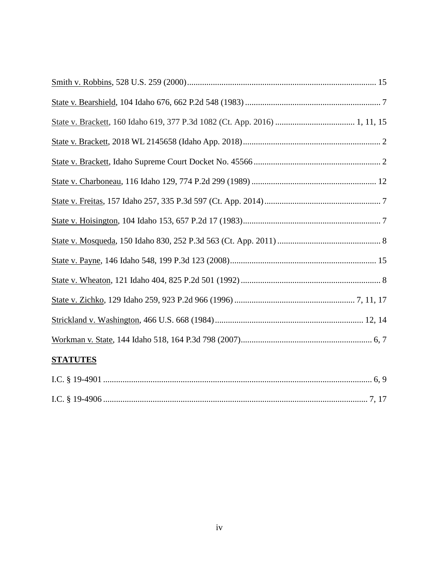| <b>STATUTES</b> |
|-----------------|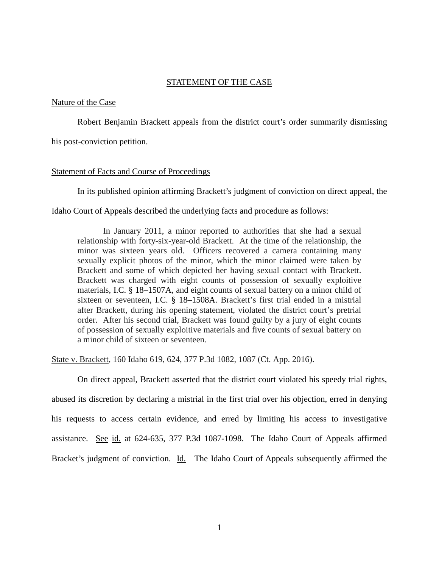#### STATEMENT OF THE CASE

#### Nature of the Case

Robert Benjamin Brackett appeals from the district court's order summarily dismissing

his post-conviction petition.

#### Statement of Facts and Course of Proceedings

In its published opinion affirming Brackett's judgment of conviction on direct appeal, the

Idaho Court of Appeals described the underlying facts and procedure as follows:

In January 2011, a minor reported to authorities that she had a sexual relationship with forty-six-year-old Brackett. At the time of the relationship, the minor was sixteen years old. Officers recovered a camera containing many sexually explicit photos of the minor, which the minor claimed were taken by Brackett and some of which depicted her having sexual contact with Brackett. Brackett was charged with eight counts of possession of sexually exploitive materials, I.C. § 18–1507A, and eight counts of sexual battery on a minor child of sixteen or seventeen, I.C. § 18–1508A. Brackett's first trial ended in a mistrial after Brackett, during his opening statement, violated the district court's pretrial order. After his second trial, Brackett was found guilty by a jury of eight counts of possession of sexually exploitive materials and five counts of sexual battery on a minor child of sixteen or seventeen.

State v. Brackett, 160 Idaho 619, 624, 377 P.3d 1082, 1087 (Ct. App. 2016).

On direct appeal, Brackett asserted that the district court violated his speedy trial rights, abused its discretion by declaring a mistrial in the first trial over his objection, erred in denying his requests to access certain evidence, and erred by limiting his access to investigative assistance. See id. at 624-635, 377 P.3d 1087-1098. The Idaho Court of Appeals affirmed Bracket's judgment of conviction. Id. The Idaho Court of Appeals subsequently affirmed the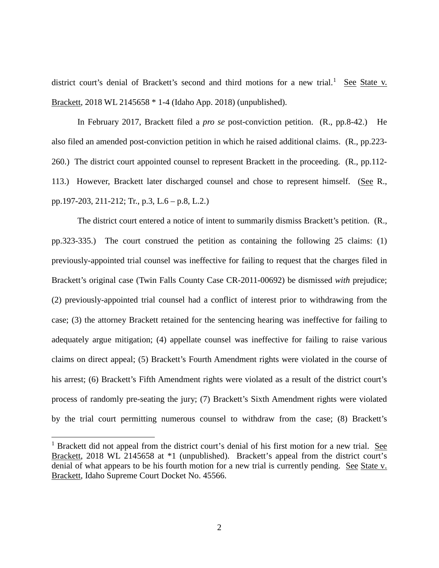district court's denial of Brackett's second and third motions for a new trial.<sup>[1](#page-7-0)</sup> See State v. Brackett, 2018 WL 2145658 \* 1-4 (Idaho App. 2018) (unpublished).

In February 2017, Brackett filed a *pro se* post-conviction petition. (R., pp.8-42.) He also filed an amended post-conviction petition in which he raised additional claims. (R., pp.223- 260.) The district court appointed counsel to represent Brackett in the proceeding. (R., pp.112- 113.) However, Brackett later discharged counsel and chose to represent himself. (See R., pp.197-203, 211-212; Tr., p.3, L.6 – p.8, L.2.)

The district court entered a notice of intent to summarily dismiss Brackett's petition. (R., pp.323-335.) The court construed the petition as containing the following 25 claims: (1) previously-appointed trial counsel was ineffective for failing to request that the charges filed in Brackett's original case (Twin Falls County Case CR-2011-00692) be dismissed *with* prejudice; (2) previously-appointed trial counsel had a conflict of interest prior to withdrawing from the case; (3) the attorney Brackett retained for the sentencing hearing was ineffective for failing to adequately argue mitigation; (4) appellate counsel was ineffective for failing to raise various claims on direct appeal; (5) Brackett's Fourth Amendment rights were violated in the course of his arrest; (6) Brackett's Fifth Amendment rights were violated as a result of the district court's process of randomly pre-seating the jury; (7) Brackett's Sixth Amendment rights were violated by the trial court permitting numerous counsel to withdraw from the case; (8) Brackett's

 $\overline{a}$ 

<span id="page-7-0"></span><sup>&</sup>lt;sup>1</sup> Brackett did not appeal from the district court's denial of his first motion for a new trial. See Brackett, 2018 WL 2145658 at  $*1$  (unpublished). Brackett's appeal from the district court's denial of what appears to be his fourth motion for a new trial is currently pending. See State v. Brackett, Idaho Supreme Court Docket No. 45566.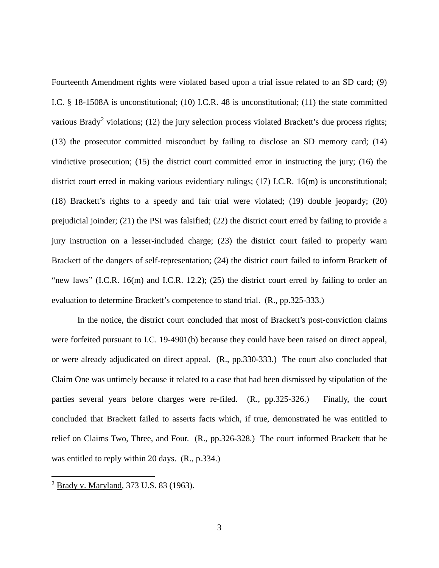Fourteenth Amendment rights were violated based upon a trial issue related to an SD card; (9) I.C. § 18-1508A is unconstitutional; (10) I.C.R. 48 is unconstitutional; (11) the state committed various  $\frac{B \cdot \text{rady}^2}{2}$  $\frac{B \cdot \text{rady}^2}{2}$  $\frac{B \cdot \text{rady}^2}{2}$  violations; (12) the jury selection process violated Brackett's due process rights; (13) the prosecutor committed misconduct by failing to disclose an SD memory card; (14) vindictive prosecution; (15) the district court committed error in instructing the jury; (16) the district court erred in making various evidentiary rulings; (17) I.C.R. 16(m) is unconstitutional; (18) Brackett's rights to a speedy and fair trial were violated; (19) double jeopardy; (20) prejudicial joinder; (21) the PSI was falsified; (22) the district court erred by failing to provide a jury instruction on a lesser-included charge; (23) the district court failed to properly warn Brackett of the dangers of self-representation; (24) the district court failed to inform Brackett of "new laws" (I.C.R. 16(m) and I.C.R. 12.2); (25) the district court erred by failing to order an evaluation to determine Brackett's competence to stand trial. (R., pp.325-333.)

In the notice, the district court concluded that most of Brackett's post-conviction claims were forfeited pursuant to I.C. 19-4901(b) because they could have been raised on direct appeal, or were already adjudicated on direct appeal. (R., pp.330-333.) The court also concluded that Claim One was untimely because it related to a case that had been dismissed by stipulation of the parties several years before charges were re-filed. (R., pp.325-326.) Finally, the court concluded that Brackett failed to asserts facts which, if true, demonstrated he was entitled to relief on Claims Two, Three, and Four. (R., pp.326-328.) The court informed Brackett that he was entitled to reply within 20 days. (R., p.334.)

 $\overline{a}$ 

<span id="page-8-0"></span><sup>2</sup> Brady v. Maryland, 373 U.S. 83 (1963).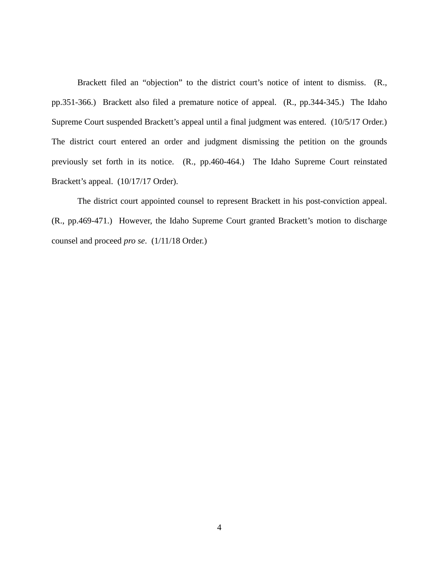Brackett filed an "objection" to the district court's notice of intent to dismiss. (R., pp.351-366.) Brackett also filed a premature notice of appeal. (R., pp.344-345.) The Idaho Supreme Court suspended Brackett's appeal until a final judgment was entered. (10/5/17 Order.) The district court entered an order and judgment dismissing the petition on the grounds previously set forth in its notice. (R., pp.460-464.) The Idaho Supreme Court reinstated Brackett's appeal. (10/17/17 Order).

The district court appointed counsel to represent Brackett in his post-conviction appeal. (R., pp.469-471.) However, the Idaho Supreme Court granted Brackett's motion to discharge counsel and proceed *pro se*. (1/11/18 Order.)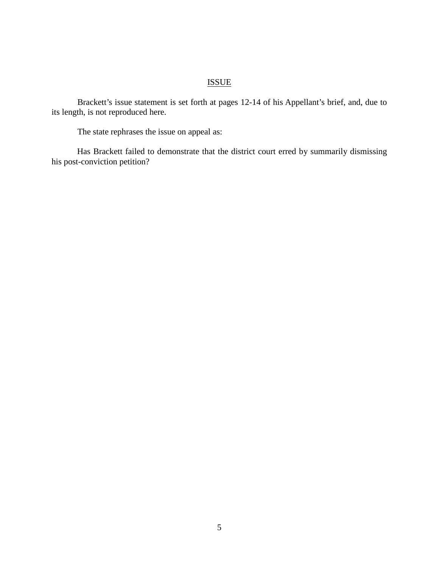# ISSUE

Brackett's issue statement is set forth at pages 12-14 of his Appellant's brief, and, due to its length, is not reproduced here.

The state rephrases the issue on appeal as:

Has Brackett failed to demonstrate that the district court erred by summarily dismissing his post-conviction petition?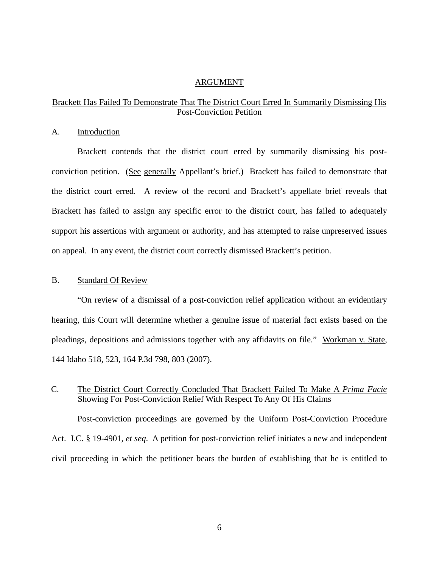#### ARGUMENT

## Brackett Has Failed To Demonstrate That The District Court Erred In Summarily Dismissing His Post-Conviction Petition

#### A. Introduction

Brackett contends that the district court erred by summarily dismissing his postconviction petition. (See generally Appellant's brief.) Brackett has failed to demonstrate that the district court erred. A review of the record and Brackett's appellate brief reveals that Brackett has failed to assign any specific error to the district court, has failed to adequately support his assertions with argument or authority, and has attempted to raise unpreserved issues on appeal. In any event, the district court correctly dismissed Brackett's petition.

#### B. Standard Of Review

"On review of a dismissal of a post-conviction relief application without an evidentiary hearing, this Court will determine whether a genuine issue of material fact exists based on the pleadings, depositions and admissions together with any affidavits on file." Workman v. State, 144 Idaho 518, 523, 164 P.3d 798, 803 (2007).

## C. The District Court Correctly Concluded That Brackett Failed To Make A *Prima Facie* Showing For Post-Conviction Relief With Respect To Any Of His Claims

Post-conviction proceedings are governed by the Uniform Post-Conviction Procedure Act. I.C. § 19-4901, *et seq*. A petition for post-conviction relief initiates a new and independent civil proceeding in which the petitioner bears the burden of establishing that he is entitled to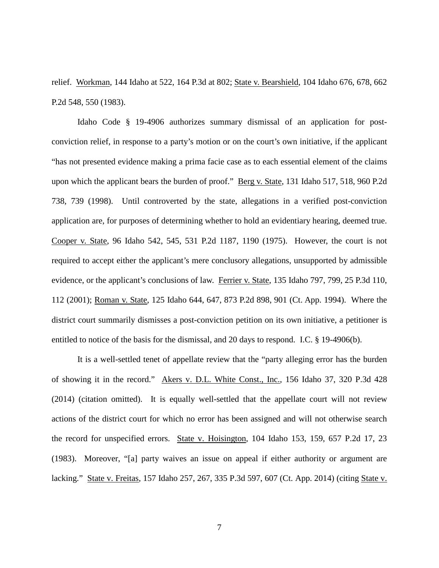relief. Workman, 144 Idaho at 522, 164 P.3d at 802; State v. Bearshield, 104 Idaho 676, 678, 662 P.2d 548, 550 (1983).

Idaho Code § 19-4906 authorizes summary dismissal of an application for postconviction relief, in response to a party's motion or on the court's own initiative, if the applicant "has not presented evidence making a prima facie case as to each essential element of the claims upon which the applicant bears the burden of proof." Berg v. State, 131 Idaho 517, 518, 960 P.2d 738, 739 (1998). Until controverted by the state, allegations in a verified post-conviction application are, for purposes of determining whether to hold an evidentiary hearing, deemed true. Cooper v. State, 96 Idaho 542, 545, 531 P.2d 1187, 1190 (1975). However, the court is not required to accept either the applicant's mere conclusory allegations, unsupported by admissible evidence, or the applicant's conclusions of law. Ferrier v. State, 135 Idaho 797, 799, 25 P.3d 110, 112 (2001); Roman v. State, 125 Idaho 644, 647, 873 P.2d 898, 901 (Ct. App. 1994). Where the district court summarily dismisses a post-conviction petition on its own initiative, a petitioner is entitled to notice of the basis for the dismissal, and 20 days to respond. I.C. § 19-4906(b).

It is a well-settled tenet of appellate review that the "party alleging error has the burden of showing it in the record." Akers v. D.L. White Const., Inc., 156 Idaho 37, 320 P.3d 428 (2014) (citation omitted). It is equally well-settled that the appellate court will not review actions of the district court for which no error has been assigned and will not otherwise search the record for unspecified errors. State v. Hoisington, 104 Idaho 153, 159, 657 P.2d 17, 23 (1983). Moreover, "[a] party waives an issue on appeal if either authority or argument are lacking." State v. Freitas, 157 Idaho 257, 267, 335 P.3d 597, 607 (Ct. App. 2014) (citing State v.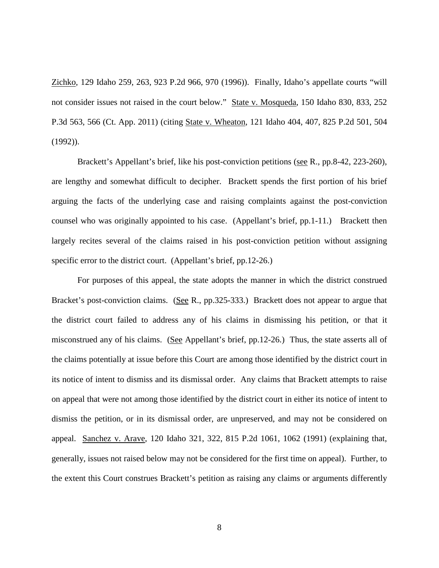Zichko, 129 Idaho 259, 263, 923 P.2d 966, 970 (1996)). Finally, Idaho's appellate courts "will not consider issues not raised in the court below." State v. Mosqueda, 150 Idaho 830, 833, 252 P.3d 563, 566 (Ct. App. 2011) (citing State v. Wheaton, 121 Idaho 404, 407, 825 P.2d 501, 504 (1992)).

Brackett's Appellant's brief, like his post-conviction petitions (see R., pp.8-42, 223-260), are lengthy and somewhat difficult to decipher. Brackett spends the first portion of his brief arguing the facts of the underlying case and raising complaints against the post-conviction counsel who was originally appointed to his case. (Appellant's brief, pp.1-11.) Brackett then largely recites several of the claims raised in his post-conviction petition without assigning specific error to the district court. (Appellant's brief, pp.12-26.)

For purposes of this appeal, the state adopts the manner in which the district construed Bracket's post-conviction claims. (See R., pp.325-333.) Brackett does not appear to argue that the district court failed to address any of his claims in dismissing his petition, or that it misconstrued any of his claims. (See Appellant's brief, pp.12-26.) Thus, the state asserts all of the claims potentially at issue before this Court are among those identified by the district court in its notice of intent to dismiss and its dismissal order. Any claims that Brackett attempts to raise on appeal that were not among those identified by the district court in either its notice of intent to dismiss the petition, or in its dismissal order, are unpreserved, and may not be considered on appeal. Sanchez v. Arave, 120 Idaho 321, 322, 815 P.2d 1061, 1062 (1991) (explaining that, generally, issues not raised below may not be considered for the first time on appeal). Further, to the extent this Court construes Brackett's petition as raising any claims or arguments differently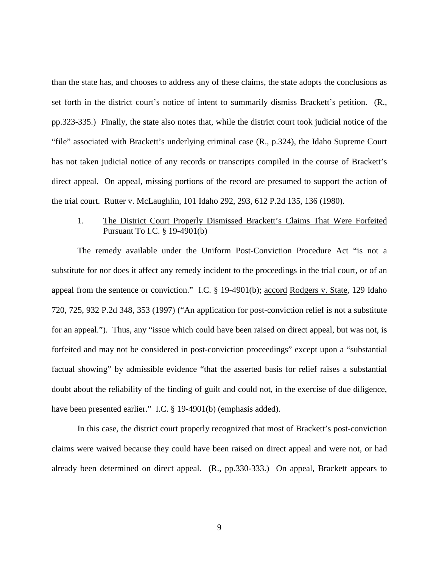than the state has, and chooses to address any of these claims, the state adopts the conclusions as set forth in the district court's notice of intent to summarily dismiss Brackett's petition. (R., pp.323-335.) Finally, the state also notes that, while the district court took judicial notice of the "file" associated with Brackett's underlying criminal case (R., p.324), the Idaho Supreme Court has not taken judicial notice of any records or transcripts compiled in the course of Brackett's direct appeal. On appeal, missing portions of the record are presumed to support the action of the trial court. Rutter v. McLaughlin, 101 Idaho 292, 293, 612 P.2d 135, 136 (1980).

### 1. The District Court Properly Dismissed Brackett's Claims That Were Forfeited Pursuant To I.C. § 19-4901(b)

The remedy available under the Uniform Post-Conviction Procedure Act "is not a substitute for nor does it affect any remedy incident to the proceedings in the trial court, or of an appeal from the sentence or conviction." I.C. § 19-4901(b); accord Rodgers v. State, 129 Idaho 720, 725, 932 P.2d 348, 353 (1997) ("An application for post-conviction relief is not a substitute for an appeal."). Thus, any "issue which could have been raised on direct appeal, but was not, is forfeited and may not be considered in post-conviction proceedings" except upon a "substantial factual showing" by admissible evidence "that the asserted basis for relief raises a substantial doubt about the reliability of the finding of guilt and could not, in the exercise of due diligence, have been presented earlier." I.C. § 19-4901(b) (emphasis added).

In this case, the district court properly recognized that most of Brackett's post-conviction claims were waived because they could have been raised on direct appeal and were not, or had already been determined on direct appeal. (R., pp.330-333.) On appeal, Brackett appears to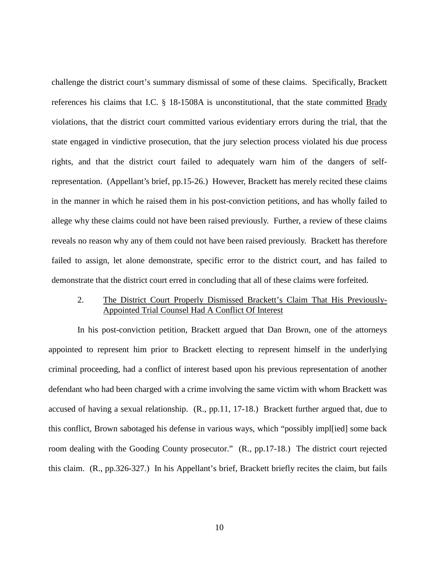challenge the district court's summary dismissal of some of these claims. Specifically, Brackett references his claims that I.C. § 18-1508A is unconstitutional, that the state committed Brady violations, that the district court committed various evidentiary errors during the trial, that the state engaged in vindictive prosecution, that the jury selection process violated his due process rights, and that the district court failed to adequately warn him of the dangers of selfrepresentation. (Appellant's brief, pp.15-26.) However, Brackett has merely recited these claims in the manner in which he raised them in his post-conviction petitions, and has wholly failed to allege why these claims could not have been raised previously. Further, a review of these claims reveals no reason why any of them could not have been raised previously. Brackett has therefore failed to assign, let alone demonstrate, specific error to the district court, and has failed to demonstrate that the district court erred in concluding that all of these claims were forfeited.

## 2. The District Court Properly Dismissed Brackett's Claim That His Previously-Appointed Trial Counsel Had A Conflict Of Interest

In his post-conviction petition, Brackett argued that Dan Brown, one of the attorneys appointed to represent him prior to Brackett electing to represent himself in the underlying criminal proceeding, had a conflict of interest based upon his previous representation of another defendant who had been charged with a crime involving the same victim with whom Brackett was accused of having a sexual relationship. (R., pp.11, 17-18.) Brackett further argued that, due to this conflict, Brown sabotaged his defense in various ways, which "possibly impl[ied] some back room dealing with the Gooding County prosecutor." (R., pp.17-18.) The district court rejected this claim. (R., pp.326-327.) In his Appellant's brief, Brackett briefly recites the claim, but fails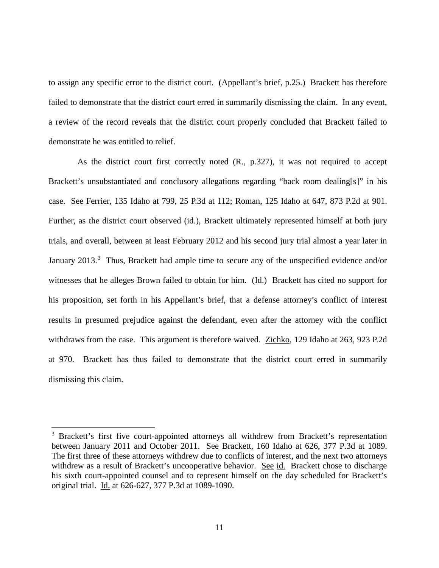to assign any specific error to the district court. (Appellant's brief, p.25.) Brackett has therefore failed to demonstrate that the district court erred in summarily dismissing the claim. In any event, a review of the record reveals that the district court properly concluded that Brackett failed to demonstrate he was entitled to relief.

As the district court first correctly noted (R., p.327), it was not required to accept Brackett's unsubstantiated and conclusory allegations regarding "back room dealing[s]" in his case. See Ferrier, 135 Idaho at 799, 25 P.3d at 112; Roman, 125 Idaho at 647, 873 P.2d at 901. Further, as the district court observed (id.), Brackett ultimately represented himself at both jury trials, and overall, between at least February 2012 and his second jury trial almost a year later in January 201[3](#page-16-0).<sup>3</sup> Thus, Brackett had ample time to secure any of the unspecified evidence and/or witnesses that he alleges Brown failed to obtain for him. (Id.) Brackett has cited no support for his proposition, set forth in his Appellant's brief, that a defense attorney's conflict of interest results in presumed prejudice against the defendant, even after the attorney with the conflict withdraws from the case. This argument is therefore waived. Zichko, 129 Idaho at 263, 923 P.2d at 970. Brackett has thus failed to demonstrate that the district court erred in summarily dismissing this claim.

 $\overline{a}$ 

<span id="page-16-0"></span><sup>&</sup>lt;sup>3</sup> Brackett's first five court-appointed attorneys all withdrew from Brackett's representation between January 2011 and October 2011. See Brackett, 160 Idaho at 626, 377 P.3d at 1089. The first three of these attorneys withdrew due to conflicts of interest, and the next two attorneys withdrew as a result of Brackett's uncooperative behavior. See id. Brackett chose to discharge his sixth court-appointed counsel and to represent himself on the day scheduled for Brackett's original trial. Id. at 626-627, 377 P.3d at 1089-1090.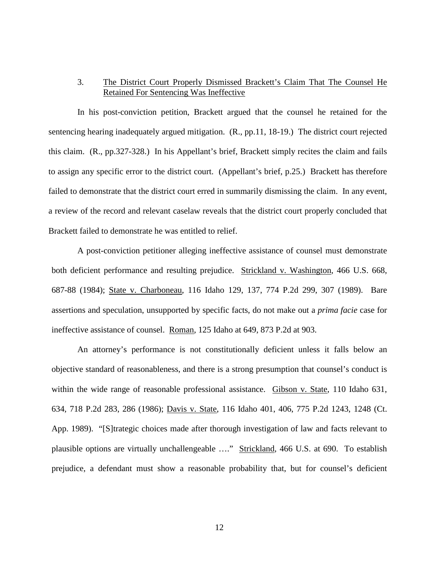## 3. The District Court Properly Dismissed Brackett's Claim That The Counsel He Retained For Sentencing Was Ineffective

In his post-conviction petition, Brackett argued that the counsel he retained for the sentencing hearing inadequately argued mitigation. (R., pp.11, 18-19.) The district court rejected this claim. (R., pp.327-328.) In his Appellant's brief, Brackett simply recites the claim and fails to assign any specific error to the district court. (Appellant's brief, p.25.) Brackett has therefore failed to demonstrate that the district court erred in summarily dismissing the claim. In any event, a review of the record and relevant caselaw reveals that the district court properly concluded that Brackett failed to demonstrate he was entitled to relief.

A post-conviction petitioner alleging ineffective assistance of counsel must demonstrate both deficient performance and resulting prejudice. Strickland v. Washington, 466 U.S. 668, 687-88 (1984); State v. Charboneau, 116 Idaho 129, 137, 774 P.2d 299, 307 (1989). Bare assertions and speculation, unsupported by specific facts, do not make out a *prima facie* case for ineffective assistance of counsel. Roman, 125 Idaho at 649, 873 P.2d at 903.

An attorney's performance is not constitutionally deficient unless it falls below an objective standard of reasonableness, and there is a strong presumption that counsel's conduct is within the wide range of reasonable professional assistance. Gibson v. State, 110 Idaho 631, 634, 718 P.2d 283, 286 (1986); Davis v. State, 116 Idaho 401, 406, 775 P.2d 1243, 1248 (Ct. App. 1989). "[S]trategic choices made after thorough investigation of law and facts relevant to plausible options are virtually unchallengeable …." Strickland, 466 U.S. at 690. To establish prejudice, a defendant must show a reasonable probability that, but for counsel's deficient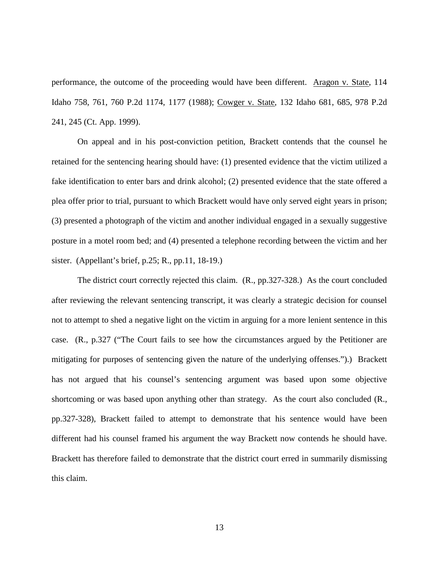performance, the outcome of the proceeding would have been different. Aragon v. State, 114 Idaho 758, 761, 760 P.2d 1174, 1177 (1988); Cowger v. State, 132 Idaho 681, 685, 978 P.2d 241, 245 (Ct. App. 1999).

On appeal and in his post-conviction petition, Brackett contends that the counsel he retained for the sentencing hearing should have: (1) presented evidence that the victim utilized a fake identification to enter bars and drink alcohol; (2) presented evidence that the state offered a plea offer prior to trial, pursuant to which Brackett would have only served eight years in prison; (3) presented a photograph of the victim and another individual engaged in a sexually suggestive posture in a motel room bed; and (4) presented a telephone recording between the victim and her sister. (Appellant's brief, p.25; R., pp.11, 18-19.)

The district court correctly rejected this claim. (R., pp.327-328.) As the court concluded after reviewing the relevant sentencing transcript, it was clearly a strategic decision for counsel not to attempt to shed a negative light on the victim in arguing for a more lenient sentence in this case. (R., p.327 ("The Court fails to see how the circumstances argued by the Petitioner are mitigating for purposes of sentencing given the nature of the underlying offenses.").) Brackett has not argued that his counsel's sentencing argument was based upon some objective shortcoming or was based upon anything other than strategy. As the court also concluded (R., pp.327-328), Brackett failed to attempt to demonstrate that his sentence would have been different had his counsel framed his argument the way Brackett now contends he should have. Brackett has therefore failed to demonstrate that the district court erred in summarily dismissing this claim.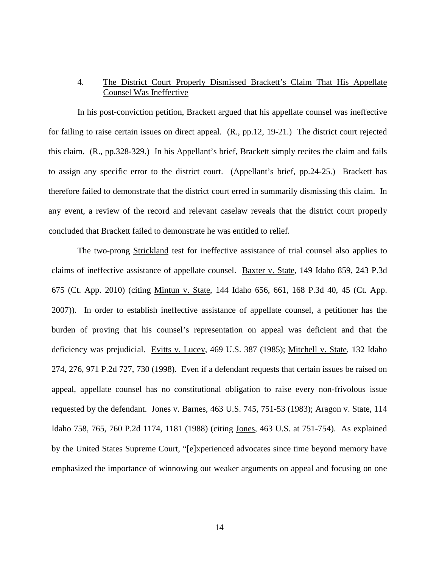## 4. The District Court Properly Dismissed Brackett's Claim That His Appellate Counsel Was Ineffective

In his post-conviction petition, Brackett argued that his appellate counsel was ineffective for failing to raise certain issues on direct appeal. (R., pp.12, 19-21.) The district court rejected this claim. (R., pp.328-329.) In his Appellant's brief, Brackett simply recites the claim and fails to assign any specific error to the district court. (Appellant's brief, pp.24-25.) Brackett has therefore failed to demonstrate that the district court erred in summarily dismissing this claim. In any event, a review of the record and relevant caselaw reveals that the district court properly concluded that Brackett failed to demonstrate he was entitled to relief.

The two-prong Strickland test for ineffective assistance of trial counsel also applies to claims of ineffective assistance of appellate counsel. Baxter v. State, 149 Idaho 859, 243 P.3d 675 (Ct. App. 2010) (citing Mintun v. State, 144 Idaho 656, 661, 168 P.3d 40, 45 (Ct. App. 2007)). In order to establish ineffective assistance of appellate counsel, a petitioner has the burden of proving that his counsel's representation on appeal was deficient and that the deficiency was prejudicial. Evitts v. Lucey, 469 U.S. 387 (1985); Mitchell v. State, 132 Idaho 274, 276, 971 P.2d 727, 730 (1998). Even if a defendant requests that certain issues be raised on appeal, appellate counsel has no constitutional obligation to raise every non-frivolous issue requested by the defendant. Jones v. Barnes, 463 U.S. 745, 751-53 (1983); Aragon v. State, 114 Idaho 758, 765, 760 P.2d 1174, 1181 (1988) (citing Jones, 463 U.S. at 751-754). As explained by the United States Supreme Court, "[e]xperienced advocates since time beyond memory have emphasized the importance of winnowing out weaker arguments on appeal and focusing on one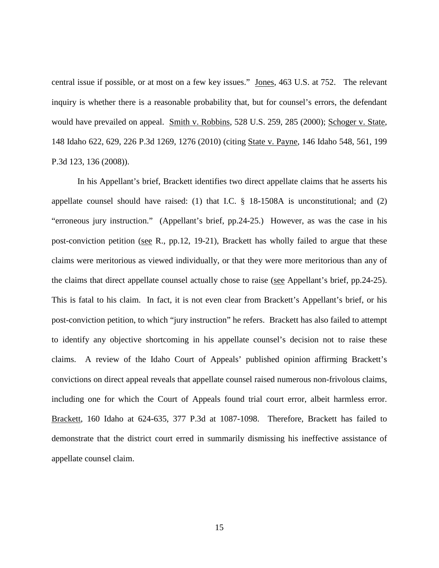central issue if possible, or at most on a few key issues." Jones, 463 U.S. at 752. The relevant inquiry is whether there is a reasonable probability that, but for counsel's errors, the defendant would have prevailed on appeal. Smith v. Robbins, 528 U.S. 259, 285 (2000); Schoger v. State, 148 Idaho 622, 629, 226 P.3d 1269, 1276 (2010) (citing State v. Payne, 146 Idaho 548, 561, 199 P.3d 123, 136 (2008)).

In his Appellant's brief, Brackett identifies two direct appellate claims that he asserts his appellate counsel should have raised: (1) that I.C. § 18-1508A is unconstitutional; and (2) "erroneous jury instruction." (Appellant's brief, pp.24-25.) However, as was the case in his post-conviction petition (see R., pp.12, 19-21), Brackett has wholly failed to argue that these claims were meritorious as viewed individually, or that they were more meritorious than any of the claims that direct appellate counsel actually chose to raise (see Appellant's brief, pp.24-25). This is fatal to his claim. In fact, it is not even clear from Brackett's Appellant's brief, or his post-conviction petition, to which "jury instruction" he refers. Brackett has also failed to attempt to identify any objective shortcoming in his appellate counsel's decision not to raise these claims. A review of the Idaho Court of Appeals' published opinion affirming Brackett's convictions on direct appeal reveals that appellate counsel raised numerous non-frivolous claims, including one for which the Court of Appeals found trial court error, albeit harmless error. Brackett, 160 Idaho at 624-635, 377 P.3d at 1087-1098. Therefore, Brackett has failed to demonstrate that the district court erred in summarily dismissing his ineffective assistance of appellate counsel claim.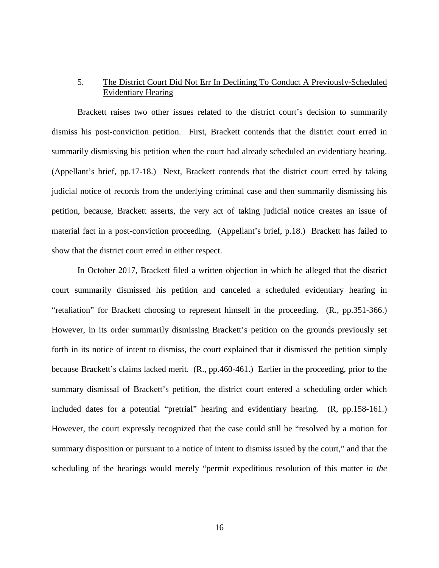## 5. The District Court Did Not Err In Declining To Conduct A Previously-Scheduled Evidentiary Hearing

Brackett raises two other issues related to the district court's decision to summarily dismiss his post-conviction petition. First, Brackett contends that the district court erred in summarily dismissing his petition when the court had already scheduled an evidentiary hearing. (Appellant's brief, pp.17-18.) Next, Brackett contends that the district court erred by taking judicial notice of records from the underlying criminal case and then summarily dismissing his petition, because, Brackett asserts, the very act of taking judicial notice creates an issue of material fact in a post-conviction proceeding. (Appellant's brief, p.18.) Brackett has failed to show that the district court erred in either respect.

In October 2017, Brackett filed a written objection in which he alleged that the district court summarily dismissed his petition and canceled a scheduled evidentiary hearing in "retaliation" for Brackett choosing to represent himself in the proceeding. (R., pp.351-366.) However, in its order summarily dismissing Brackett's petition on the grounds previously set forth in its notice of intent to dismiss, the court explained that it dismissed the petition simply because Brackett's claims lacked merit. (R., pp.460-461.) Earlier in the proceeding, prior to the summary dismissal of Brackett's petition, the district court entered a scheduling order which included dates for a potential "pretrial" hearing and evidentiary hearing. (R, pp.158-161.) However, the court expressly recognized that the case could still be "resolved by a motion for summary disposition or pursuant to a notice of intent to dismiss issued by the court," and that the scheduling of the hearings would merely "permit expeditious resolution of this matter *in the*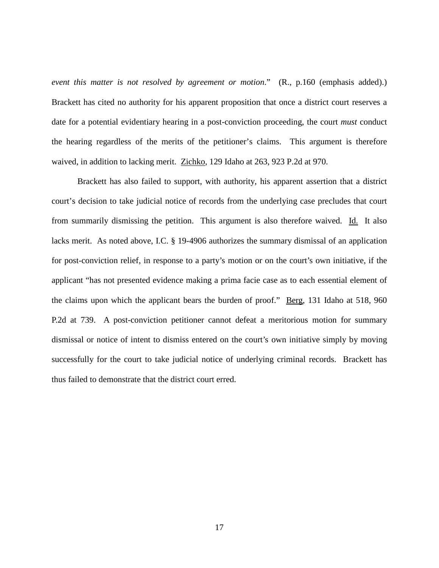*event this matter is not resolved by agreement or motion*." (R., p.160 (emphasis added).) Brackett has cited no authority for his apparent proposition that once a district court reserves a date for a potential evidentiary hearing in a post-conviction proceeding, the court *must* conduct the hearing regardless of the merits of the petitioner's claims. This argument is therefore waived, in addition to lacking merit. Zichko, 129 Idaho at 263, 923 P.2d at 970.

Brackett has also failed to support, with authority, his apparent assertion that a district court's decision to take judicial notice of records from the underlying case precludes that court from summarily dismissing the petition. This argument is also therefore waived. Id. It also lacks merit. As noted above, I.C. § 19-4906 authorizes the summary dismissal of an application for post-conviction relief, in response to a party's motion or on the court's own initiative, if the applicant "has not presented evidence making a prima facie case as to each essential element of the claims upon which the applicant bears the burden of proof." Berg, 131 Idaho at 518, 960 P.2d at 739. A post-conviction petitioner cannot defeat a meritorious motion for summary dismissal or notice of intent to dismiss entered on the court's own initiative simply by moving successfully for the court to take judicial notice of underlying criminal records. Brackett has thus failed to demonstrate that the district court erred.